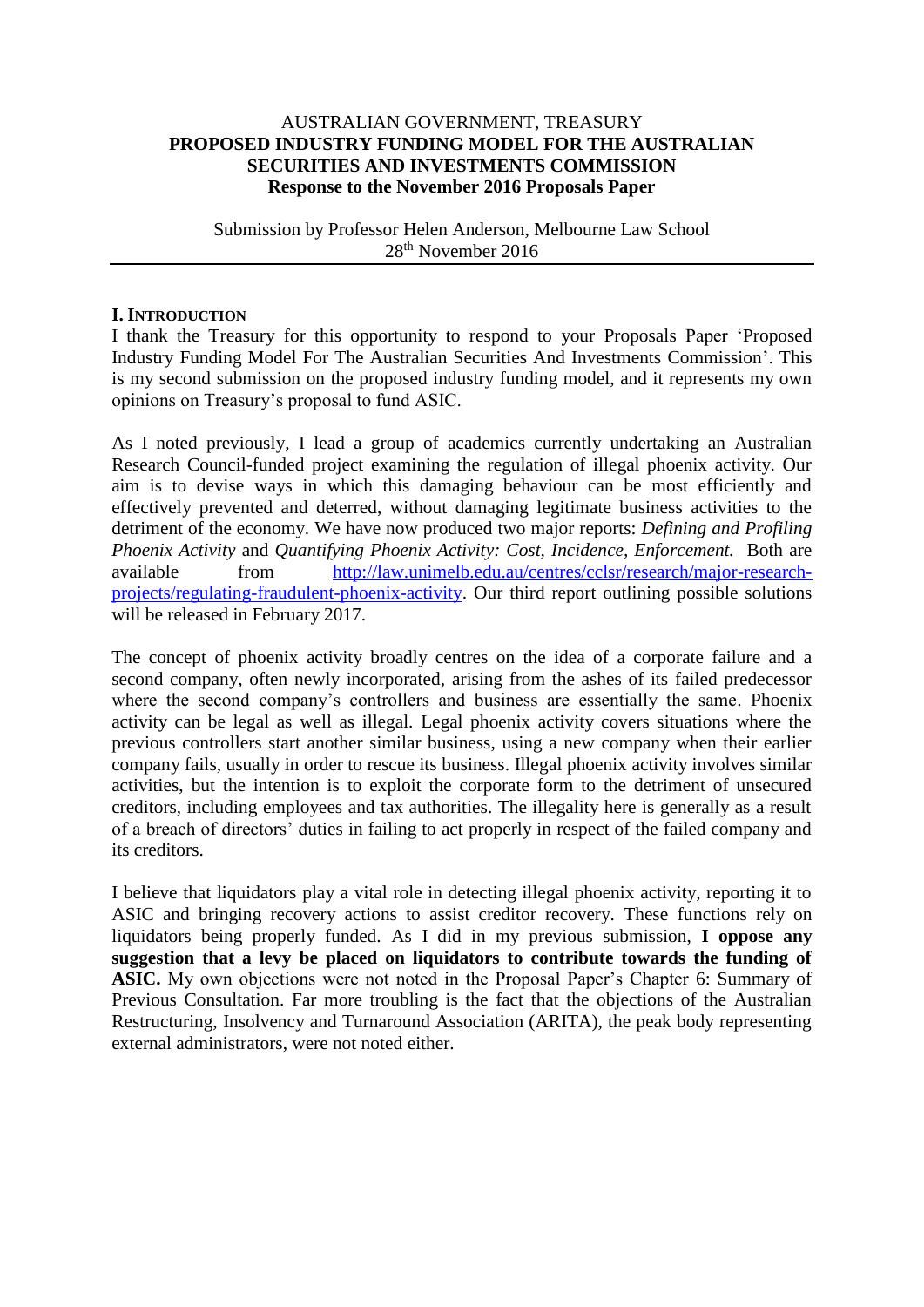## AUSTRALIAN GOVERNMENT, TREASURY **PROPOSED INDUSTRY FUNDING MODEL FOR THE AUSTRALIAN SECURITIES AND INVESTMENTS COMMISSION Response to the November 2016 Proposals Paper**

#### Submission by Professor Helen Anderson, Melbourne Law School 28th November 2016

### **I. INTRODUCTION**

I thank the Treasury for this opportunity to respond to your Proposals Paper 'Proposed Industry Funding Model For The Australian Securities And Investments Commission'. This is my second submission on the proposed industry funding model, and it represents my own opinions on Treasury's proposal to fund ASIC.

As I noted previously, I lead a group of academics currently undertaking an Australian Research Council-funded project examining the regulation of illegal phoenix activity. Our aim is to devise ways in which this damaging behaviour can be most efficiently and effectively prevented and deterred, without damaging legitimate business activities to the detriment of the economy. We have now produced two major reports: *Defining and Profiling Phoenix Activity* and *Quantifying Phoenix Activity: Cost, Incidence, Enforcement.* Both are available from [http://law.unimelb.edu.au/centres/cclsr/research/major-research](http://law.unimelb.edu.au/centres/cclsr/research/major-research-projects/regulating-fraudulent-phoenix-activity)[projects/regulating-fraudulent-phoenix-activity.](http://law.unimelb.edu.au/centres/cclsr/research/major-research-projects/regulating-fraudulent-phoenix-activity) Our third report outlining possible solutions will be released in February 2017.

The concept of phoenix activity broadly centres on the idea of a corporate failure and a second company, often newly incorporated, arising from the ashes of its failed predecessor where the second company's controllers and business are essentially the same. Phoenix activity can be legal as well as illegal. Legal phoenix activity covers situations where the previous controllers start another similar business, using a new company when their earlier company fails, usually in order to rescue its business. Illegal phoenix activity involves similar activities, but the intention is to exploit the corporate form to the detriment of unsecured creditors, including employees and tax authorities. The illegality here is generally as a result of a breach of directors' duties in failing to act properly in respect of the failed company and its creditors.

I believe that liquidators play a vital role in detecting illegal phoenix activity, reporting it to ASIC and bringing recovery actions to assist creditor recovery. These functions rely on liquidators being properly funded. As I did in my previous submission, **I oppose any suggestion that a levy be placed on liquidators to contribute towards the funding of ASIC.** My own objections were not noted in the Proposal Paper's Chapter 6: Summary of Previous Consultation. Far more troubling is the fact that the objections of the Australian Restructuring, Insolvency and Turnaround Association (ARITA), the peak body representing external administrators, were not noted either.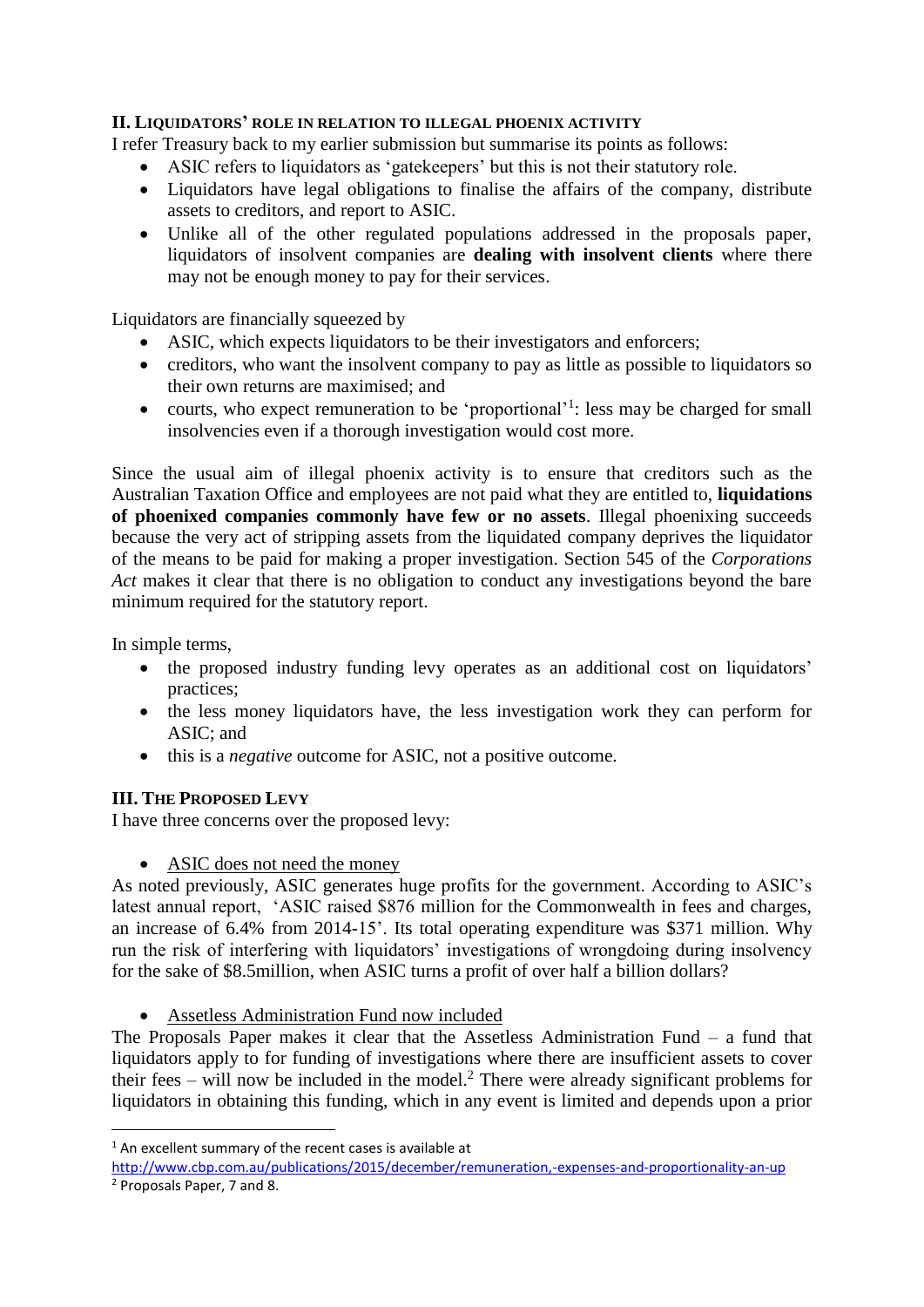# **II. LIQUIDATORS' ROLE IN RELATION TO ILLEGAL PHOENIX ACTIVITY**

I refer Treasury back to my earlier submission but summarise its points as follows:

- ASIC refers to liquidators as 'gatekeepers' but this is not their statutory role.
- Liquidators have legal obligations to finalise the affairs of the company, distribute assets to creditors, and report to ASIC.
- Unlike all of the other regulated populations addressed in the proposals paper, liquidators of insolvent companies are **dealing with insolvent clients** where there may not be enough money to pay for their services.

Liquidators are financially squeezed by

- ASIC, which expects liquidators to be their investigators and enforcers;
- creditors, who want the insolvent company to pay as little as possible to liquidators so their own returns are maximised; and
- courts, who expect remuneration to be 'proportional'<sup>1</sup>: less may be charged for small insolvencies even if a thorough investigation would cost more.

Since the usual aim of illegal phoenix activity is to ensure that creditors such as the Australian Taxation Office and employees are not paid what they are entitled to, **liquidations of phoenixed companies commonly have few or no assets**. Illegal phoenixing succeeds because the very act of stripping assets from the liquidated company deprives the liquidator of the means to be paid for making a proper investigation. Section 545 of the *Corporations*  Act makes it clear that there is no obligation to conduct any investigations beyond the bare minimum required for the statutory report.

In simple terms,

**.** 

- the proposed industry funding levy operates as an additional cost on liquidators' practices;
- the less money liquidators have, the less investigation work they can perform for ASIC; and
- this is a *negative* outcome for ASIC, not a positive outcome.

### **III. THE PROPOSED LEVY**

I have three concerns over the proposed levy:

• ASIC does not need the money

As noted previously, ASIC generates huge profits for the government. According to ASIC's latest annual report, 'ASIC raised \$876 million for the Commonwealth in fees and charges, an increase of 6.4% from 2014-15'. Its total operating expenditure was \$371 million. Why run the risk of interfering with liquidators' investigations of wrongdoing during insolvency for the sake of \$8.5million, when ASIC turns a profit of over half a billion dollars?

Assetless Administration Fund now included

The Proposals Paper makes it clear that the Assetless Administration Fund – a fund that liquidators apply to for funding of investigations where there are insufficient assets to cover their fees – will now be included in the model.<sup>2</sup> There were already significant problems for liquidators in obtaining this funding, which in any event is limited and depends upon a prior

 $1$  An excellent summary of the recent cases is available at

<http://www.cbp.com.au/publications/2015/december/remuneration,-expenses-and-proportionality-an-up> <sup>2</sup> Proposals Paper, 7 and 8.